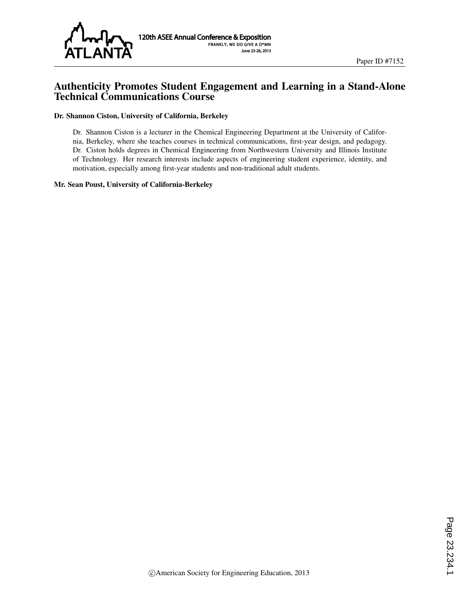

### Authenticity Promotes Student Engagement and Learning in a Stand-Alone Technical Communications Course

#### Dr. Shannon Ciston, University of California, Berkeley

Dr. Shannon Ciston is a lecturer in the Chemical Engineering Department at the University of California, Berkeley, where she teaches courses in technical communications, first-year design, and pedagogy. Dr. Ciston holds degrees in Chemical Engineering from Northwestern University and Illinois Institute of Technology. Her research interests include aspects of engineering student experience, identity, and motivation, especially among first-year students and non-traditional adult students.

#### Mr. Sean Poust, University of California-Berkeley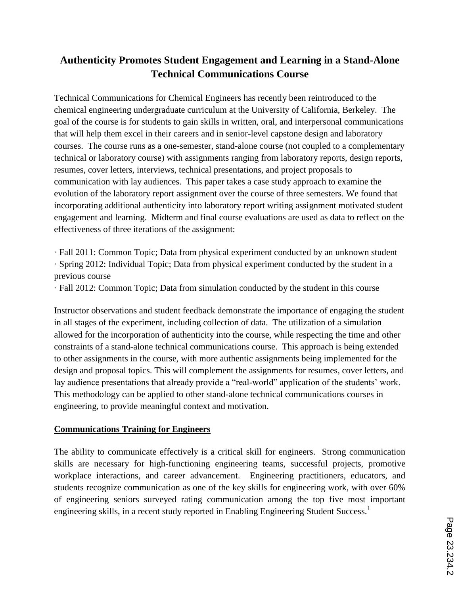# **Authenticity Promotes Student Engagement and Learning in a Stand-Alone Technical Communications Course**

Technical Communications for Chemical Engineers has recently been reintroduced to the chemical engineering undergraduate curriculum at the University of California, Berkeley. The goal of the course is for students to gain skills in written, oral, and interpersonal communications that will help them excel in their careers and in senior-level capstone design and laboratory courses. The course runs as a one-semester, stand-alone course (not coupled to a complementary technical or laboratory course) with assignments ranging from laboratory reports, design reports, resumes, cover letters, interviews, technical presentations, and project proposals to communication with lay audiences. This paper takes a case study approach to examine the evolution of the laboratory report assignment over the course of three semesters. We found that incorporating additional authenticity into laboratory report writing assignment motivated student engagement and learning. Midterm and final course evaluations are used as data to reflect on the effectiveness of three iterations of the assignment:

· Fall 2011: Common Topic; Data from physical experiment conducted by an unknown student · Spring 2012: Individual Topic; Data from physical experiment conducted by the student in a previous course

· Fall 2012: Common Topic; Data from simulation conducted by the student in this course

Instructor observations and student feedback demonstrate the importance of engaging the student in all stages of the experiment, including collection of data. The utilization of a simulation allowed for the incorporation of authenticity into the course, while respecting the time and other constraints of a stand-alone technical communications course. This approach is being extended to other assignments in the course, with more authentic assignments being implemented for the design and proposal topics. This will complement the assignments for resumes, cover letters, and lay audience presentations that already provide a "real-world" application of the students' work. This methodology can be applied to other stand-alone technical communications courses in engineering, to provide meaningful context and motivation.

#### **Communications Training for Engineers**

The ability to communicate effectively is a critical skill for engineers. Strong communication skills are necessary for high-functioning engineering teams, successful projects, promotive workplace interactions, and career advancement. Engineering practitioners, educators, and students recognize communication as one of the key skills for engineering work, with over 60% of engineering seniors surveyed rating communication among the top five most important engineering skills, in a recent study reported in Enabling Engineering Student Success.<sup>1</sup>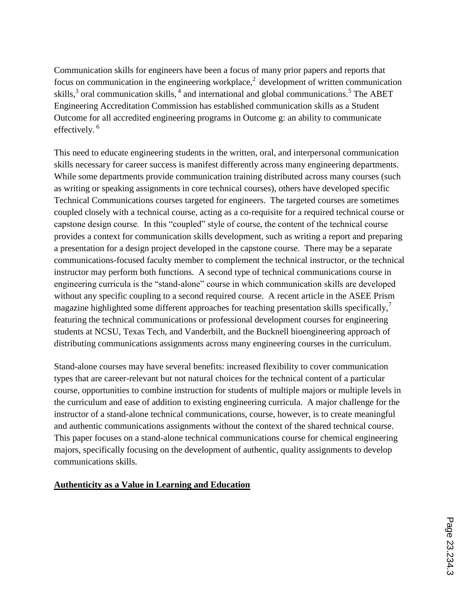Communication skills for engineers have been a focus of many prior papers and reports that focus on communication in the engineering workplace, $\alpha$ <sup>2</sup> development of written communication skills,<sup>3</sup> oral communication skills,<sup>4</sup> and international and global communications.<sup>5</sup> The ABET Engineering Accreditation Commission has established communication skills as a Student Outcome for all accredited engineering programs in Outcome g: an ability to communicate effectively.<sup>6</sup>

This need to educate engineering students in the written, oral, and interpersonal communication skills necessary for career success is manifest differently across many engineering departments. While some departments provide communication training distributed across many courses (such as writing or speaking assignments in core technical courses), others have developed specific Technical Communications courses targeted for engineers. The targeted courses are sometimes coupled closely with a technical course, acting as a co-requisite for a required technical course or capstone design course. In this "coupled" style of course, the content of the technical course provides a context for communication skills development, such as writing a report and preparing a presentation for a design project developed in the capstone course. There may be a separate communications-focused faculty member to complement the technical instructor, or the technical instructor may perform both functions. A second type of technical communications course in engineering curricula is the "stand-alone" course in which communication skills are developed without any specific coupling to a second required course. A recent article in the ASEE Prism magazine highlighted some different approaches for teaching presentation skills specifically, $\frac{7}{2}$ featuring the technical communications or professional development courses for engineering students at NCSU, Texas Tech, and Vanderbilt, and the Bucknell bioengineering approach of distributing communications assignments across many engineering courses in the curriculum.

Stand-alone courses may have several benefits: increased flexibility to cover communication types that are career-relevant but not natural choices for the technical content of a particular course, opportunities to combine instruction for students of multiple majors or multiple levels in the curriculum and ease of addition to existing engineering curricula. A major challenge for the instructor of a stand-alone technical communications, course, however, is to create meaningful and authentic communications assignments without the context of the shared technical course. This paper focuses on a stand-alone technical communications course for chemical engineering majors, specifically focusing on the development of authentic, quality assignments to develop communications skills.

#### **Authenticity as a Value in Learning and Education**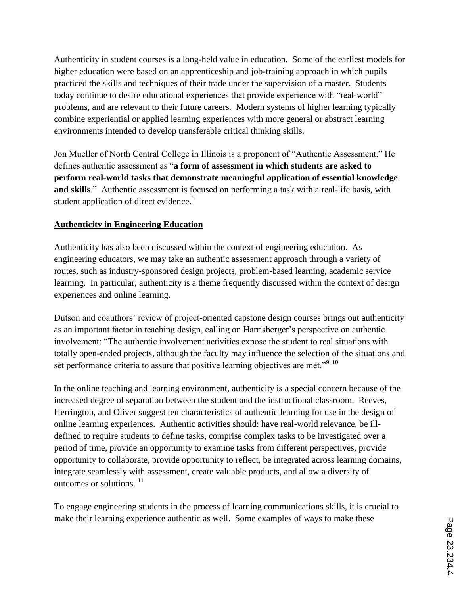Authenticity in student courses is a long-held value in education. Some of the earliest models for higher education were based on an apprenticeship and job-training approach in which pupils practiced the skills and techniques of their trade under the supervision of a master. Students today continue to desire educational experiences that provide experience with "real-world" problems, and are relevant to their future careers. Modern systems of higher learning typically combine experiential or applied learning experiences with more general or abstract learning environments intended to develop transferable critical thinking skills.

Jon Mueller of North Central College in Illinois is a proponent of "Authentic Assessment." He defines authentic assessment as "**a form of assessment in which students are asked to perform real-world tasks that demonstrate meaningful application of essential knowledge and skills**." Authentic assessment is focused on performing a task with a real-life basis, with student application of direct evidence.<sup>8</sup>

## **Authenticity in Engineering Education**

Authenticity has also been discussed within the context of engineering education. As engineering educators, we may take an authentic assessment approach through a variety of routes, such as industry-sponsored design projects, problem-based learning, academic service learning. In particular, authenticity is a theme frequently discussed within the context of design experiences and online learning.

Dutson and coauthors' review of project-oriented capstone design courses brings out authenticity as an important factor in teaching design, calling on Harrisberger's perspective on authentic involvement: "The authentic involvement activities expose the student to real situations with totally open-ended projects, although the faculty may influence the selection of the situations and set performance criteria to assure that positive learning objectives are met."<sup>9, 10</sup>

In the online teaching and learning environment, authenticity is a special concern because of the increased degree of separation between the student and the instructional classroom. Reeves, Herrington, and Oliver suggest ten characteristics of authentic learning for use in the design of online learning experiences. Authentic activities should: have real-world relevance, be illdefined to require students to define tasks, comprise complex tasks to be investigated over a period of time, provide an opportunity to examine tasks from different perspectives, provide opportunity to collaborate, provide opportunity to reflect, be integrated across learning domains, integrate seamlessly with assessment, create valuable products, and allow a diversity of outcomes or solutions.<sup>11</sup>

To engage engineering students in the process of learning communications skills, it is crucial to make their learning experience authentic as well. Some examples of ways to make these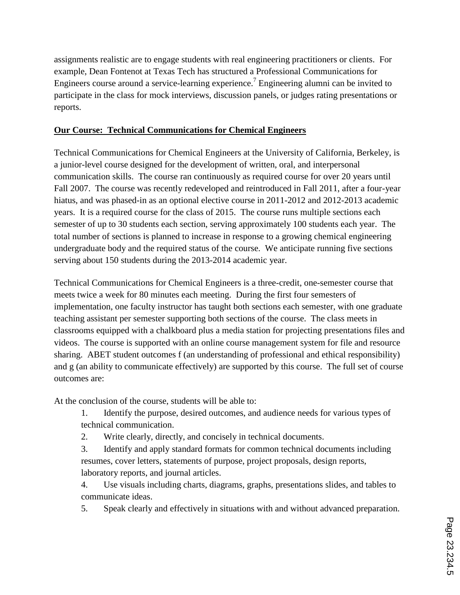assignments realistic are to engage students with real engineering practitioners or clients. For example, Dean Fontenot at Texas Tech has structured a Professional Communications for Engineers course around a service-learning experience.<sup>7</sup> Engineering alumni can be invited to participate in the class for mock interviews, discussion panels, or judges rating presentations or reports.

### **Our Course: Technical Communications for Chemical Engineers**

Technical Communications for Chemical Engineers at the University of California, Berkeley, is a junior-level course designed for the development of written, oral, and interpersonal communication skills. The course ran continuously as required course for over 20 years until Fall 2007. The course was recently redeveloped and reintroduced in Fall 2011, after a four-year hiatus, and was phased-in as an optional elective course in 2011-2012 and 2012-2013 academic years. It is a required course for the class of 2015. The course runs multiple sections each semester of up to 30 students each section, serving approximately 100 students each year. The total number of sections is planned to increase in response to a growing chemical engineering undergraduate body and the required status of the course. We anticipate running five sections serving about 150 students during the 2013-2014 academic year.

Technical Communications for Chemical Engineers is a three-credit, one-semester course that meets twice a week for 80 minutes each meeting. During the first four semesters of implementation, one faculty instructor has taught both sections each semester, with one graduate teaching assistant per semester supporting both sections of the course. The class meets in classrooms equipped with a chalkboard plus a media station for projecting presentations files and videos. The course is supported with an online course management system for file and resource sharing. ABET student outcomes f (an understanding of professional and ethical responsibility) and g (an ability to communicate effectively) are supported by this course. The full set of course outcomes are:

At the conclusion of the course, students will be able to:

- 1. Identify the purpose, desired outcomes, and audience needs for various types of technical communication.
- 2. Write clearly, directly, and concisely in technical documents.
- 3. Identify and apply standard formats for common technical documents including resumes, cover letters, statements of purpose, project proposals, design reports, laboratory reports, and journal articles.
- 4. Use visuals including charts, diagrams, graphs, presentations slides, and tables to communicate ideas.
- 5. Speak clearly and effectively in situations with and without advanced preparation.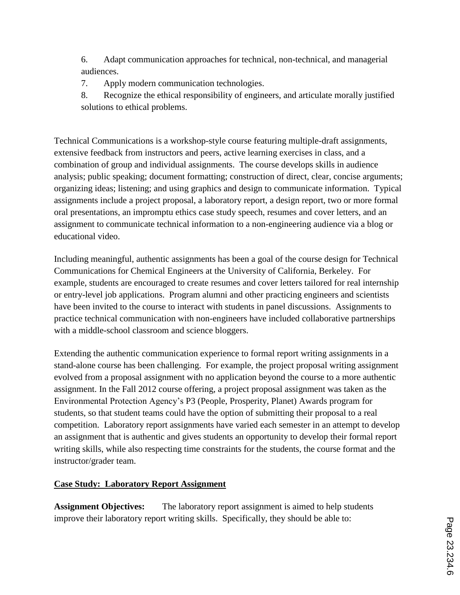6. Adapt communication approaches for technical, non-technical, and managerial audiences.

- 7. Apply modern communication technologies.
- 8. Recognize the ethical responsibility of engineers, and articulate morally justified solutions to ethical problems.

Technical Communications is a workshop-style course featuring multiple-draft assignments, extensive feedback from instructors and peers, active learning exercises in class, and a combination of group and individual assignments. The course develops skills in audience analysis; public speaking; document formatting; construction of direct, clear, concise arguments; organizing ideas; listening; and using graphics and design to communicate information. Typical assignments include a project proposal, a laboratory report, a design report, two or more formal oral presentations, an impromptu ethics case study speech, resumes and cover letters, and an assignment to communicate technical information to a non-engineering audience via a blog or educational video.

Including meaningful, authentic assignments has been a goal of the course design for Technical Communications for Chemical Engineers at the University of California, Berkeley. For example, students are encouraged to create resumes and cover letters tailored for real internship or entry-level job applications. Program alumni and other practicing engineers and scientists have been invited to the course to interact with students in panel discussions. Assignments to practice technical communication with non-engineers have included collaborative partnerships with a middle-school classroom and science bloggers.

Extending the authentic communication experience to formal report writing assignments in a stand-alone course has been challenging. For example, the project proposal writing assignment evolved from a proposal assignment with no application beyond the course to a more authentic assignment. In the Fall 2012 course offering, a project proposal assignment was taken as the Environmental Protection Agency's P3 (People, Prosperity, Planet) Awards program for students, so that student teams could have the option of submitting their proposal to a real competition. Laboratory report assignments have varied each semester in an attempt to develop an assignment that is authentic and gives students an opportunity to develop their formal report writing skills, while also respecting time constraints for the students, the course format and the instructor/grader team.

## **Case Study: Laboratory Report Assignment**

**Assignment Objectives:** The laboratory report assignment is aimed to help students improve their laboratory report writing skills. Specifically, they should be able to: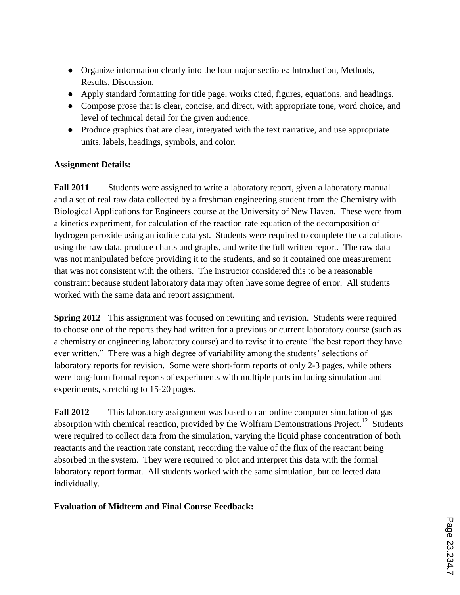- Organize information clearly into the four major sections: Introduction, Methods, Results, Discussion.
- Apply standard formatting for title page, works cited, figures, equations, and headings.
- Compose prose that is clear, concise, and direct, with appropriate tone, word choice, and level of technical detail for the given audience.
- Produce graphics that are clear, integrated with the text narrative, and use appropriate units, labels, headings, symbols, and color.

### **Assignment Details:**

**Fall 2011** Students were assigned to write a laboratory report, given a laboratory manual and a set of real raw data collected by a freshman engineering student from the Chemistry with Biological Applications for Engineers course at the University of New Haven. These were from a kinetics experiment, for calculation of the reaction rate equation of the decomposition of hydrogen peroxide using an iodide catalyst. Students were required to complete the calculations using the raw data, produce charts and graphs, and write the full written report. The raw data was not manipulated before providing it to the students, and so it contained one measurement that was not consistent with the others. The instructor considered this to be a reasonable constraint because student laboratory data may often have some degree of error. All students worked with the same data and report assignment.

**Spring 2012** This assignment was focused on rewriting and revision. Students were required to choose one of the reports they had written for a previous or current laboratory course (such as a chemistry or engineering laboratory course) and to revise it to create "the best report they have ever written." There was a high degree of variability among the students' selections of laboratory reports for revision. Some were short-form reports of only 2-3 pages, while others were long-form formal reports of experiments with multiple parts including simulation and experiments, stretching to 15-20 pages.

**Fall 2012** This laboratory assignment was based on an online computer simulation of gas absorption with chemical reaction, provided by the Wolfram Demonstrations Project.<sup>12</sup> Students were required to collect data from the simulation, varying the liquid phase concentration of both reactants and the reaction rate constant, recording the value of the flux of the reactant being absorbed in the system. They were required to plot and interpret this data with the formal laboratory report format. All students worked with the same simulation, but collected data individually.

#### **Evaluation of Midterm and Final Course Feedback:**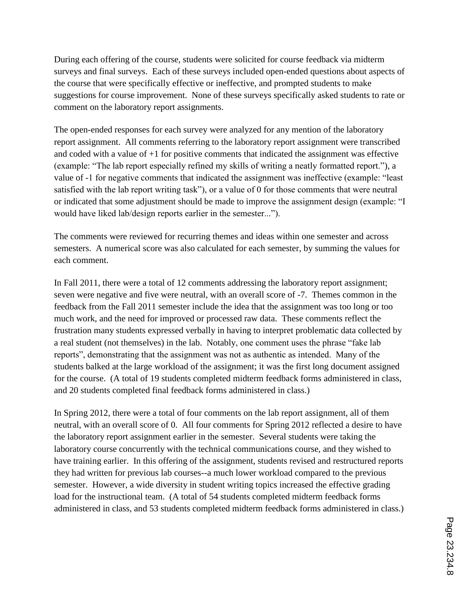During each offering of the course, students were solicited for course feedback via midterm surveys and final surveys. Each of these surveys included open-ended questions about aspects of the course that were specifically effective or ineffective, and prompted students to make suggestions for course improvement. None of these surveys specifically asked students to rate or comment on the laboratory report assignments.

The open-ended responses for each survey were analyzed for any mention of the laboratory report assignment. All comments referring to the laboratory report assignment were transcribed and coded with a value of +1 for positive comments that indicated the assignment was effective (example: "The lab report especially refined my skills of writing a neatly formatted report."), a value of -1 for negative comments that indicated the assignment was ineffective (example: "least satisfied with the lab report writing task"), or a value of 0 for those comments that were neutral or indicated that some adjustment should be made to improve the assignment design (example: "I would have liked lab/design reports earlier in the semester...").

The comments were reviewed for recurring themes and ideas within one semester and across semesters. A numerical score was also calculated for each semester, by summing the values for each comment.

In Fall 2011, there were a total of 12 comments addressing the laboratory report assignment; seven were negative and five were neutral, with an overall score of -7. Themes common in the feedback from the Fall 2011 semester include the idea that the assignment was too long or too much work, and the need for improved or processed raw data. These comments reflect the frustration many students expressed verbally in having to interpret problematic data collected by a real student (not themselves) in the lab. Notably, one comment uses the phrase "fake lab reports", demonstrating that the assignment was not as authentic as intended. Many of the students balked at the large workload of the assignment; it was the first long document assigned for the course. (A total of 19 students completed midterm feedback forms administered in class, and 20 students completed final feedback forms administered in class.)

In Spring 2012, there were a total of four comments on the lab report assignment, all of them neutral, with an overall score of 0. All four comments for Spring 2012 reflected a desire to have the laboratory report assignment earlier in the semester. Several students were taking the laboratory course concurrently with the technical communications course, and they wished to have training earlier. In this offering of the assignment, students revised and restructured reports they had written for previous lab courses--a much lower workload compared to the previous semester. However, a wide diversity in student writing topics increased the effective grading load for the instructional team. (A total of 54 students completed midterm feedback forms administered in class, and 53 students completed midterm feedback forms administered in class.)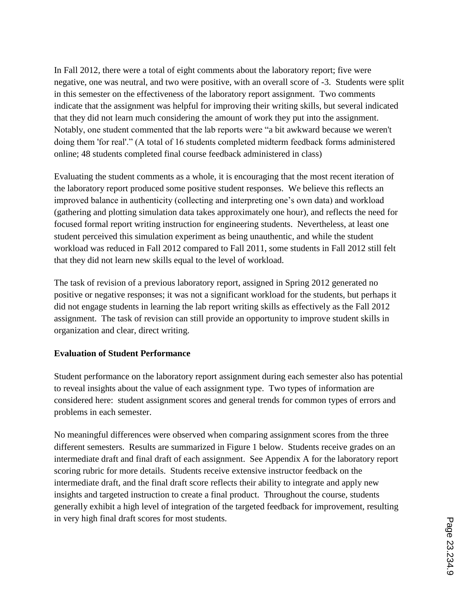In Fall 2012, there were a total of eight comments about the laboratory report; five were negative, one was neutral, and two were positive, with an overall score of -3. Students were split in this semester on the effectiveness of the laboratory report assignment. Two comments indicate that the assignment was helpful for improving their writing skills, but several indicated that they did not learn much considering the amount of work they put into the assignment. Notably, one student commented that the lab reports were "a bit awkward because we weren't doing them 'for real'." (A total of 16 students completed midterm feedback forms administered online; 48 students completed final course feedback administered in class)

Evaluating the student comments as a whole, it is encouraging that the most recent iteration of the laboratory report produced some positive student responses. We believe this reflects an improved balance in authenticity (collecting and interpreting one's own data) and workload (gathering and plotting simulation data takes approximately one hour), and reflects the need for focused formal report writing instruction for engineering students. Nevertheless, at least one student perceived this simulation experiment as being unauthentic, and while the student workload was reduced in Fall 2012 compared to Fall 2011, some students in Fall 2012 still felt that they did not learn new skills equal to the level of workload.

The task of revision of a previous laboratory report, assigned in Spring 2012 generated no positive or negative responses; it was not a significant workload for the students, but perhaps it did not engage students in learning the lab report writing skills as effectively as the Fall 2012 assignment. The task of revision can still provide an opportunity to improve student skills in organization and clear, direct writing.

#### **Evaluation of Student Performance**

Student performance on the laboratory report assignment during each semester also has potential to reveal insights about the value of each assignment type. Two types of information are considered here: student assignment scores and general trends for common types of errors and problems in each semester.

No meaningful differences were observed when comparing assignment scores from the three different semesters. Results are summarized in Figure 1 below. Students receive grades on an intermediate draft and final draft of each assignment. See Appendix A for the laboratory report scoring rubric for more details. Students receive extensive instructor feedback on the intermediate draft, and the final draft score reflects their ability to integrate and apply new insights and targeted instruction to create a final product. Throughout the course, students generally exhibit a high level of integration of the targeted feedback for improvement, resulting in very high final draft scores for most students.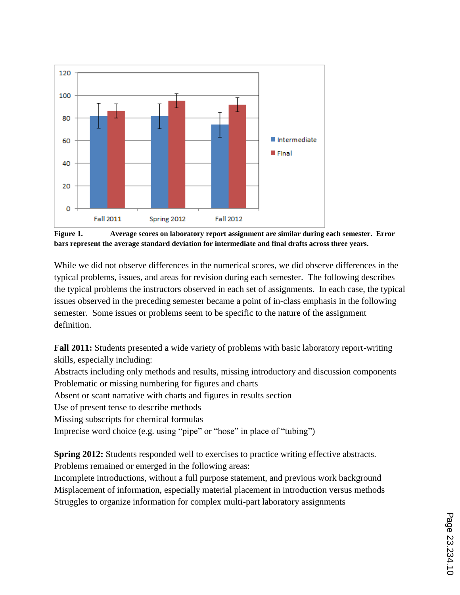

**Figure 1. Average scores on laboratory report assignment are similar during each semester. Error bars represent the average standard deviation for intermediate and final drafts across three years.**

While we did not observe differences in the numerical scores, we did observe differences in the typical problems, issues, and areas for revision during each semester. The following describes the typical problems the instructors observed in each set of assignments. In each case, the typical issues observed in the preceding semester became a point of in-class emphasis in the following semester. Some issues or problems seem to be specific to the nature of the assignment definition.

**Fall 2011:** Students presented a wide variety of problems with basic laboratory report-writing skills, especially including:

Abstracts including only methods and results, missing introductory and discussion components Problematic or missing numbering for figures and charts

Absent or scant narrative with charts and figures in results section

Use of present tense to describe methods

Missing subscripts for chemical formulas

Imprecise word choice (e.g. using "pipe" or "hose" in place of "tubing")

**Spring 2012:** Students responded well to exercises to practice writing effective abstracts. Problems remained or emerged in the following areas:

Incomplete introductions, without a full purpose statement, and previous work background Misplacement of information, especially material placement in introduction versus methods Struggles to organize information for complex multi-part laboratory assignments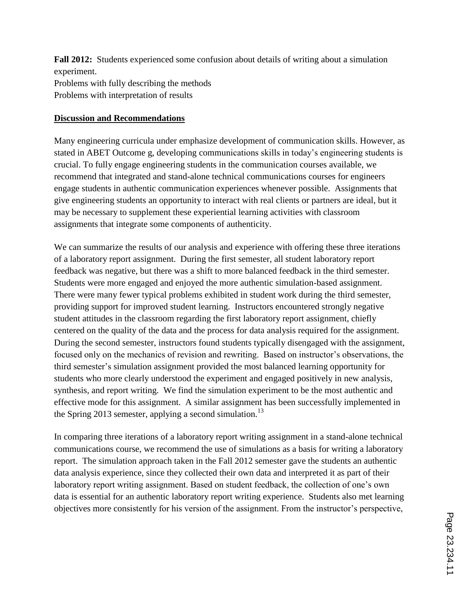**Fall 2012:** Students experienced some confusion about details of writing about a simulation experiment. Problems with fully describing the methods Problems with interpretation of results

#### **Discussion and Recommendations**

Many engineering curricula under emphasize development of communication skills. However, as stated in ABET Outcome g, developing communications skills in today's engineering students is crucial. To fully engage engineering students in the communication courses available, we recommend that integrated and stand-alone technical communications courses for engineers engage students in authentic communication experiences whenever possible. Assignments that give engineering students an opportunity to interact with real clients or partners are ideal, but it may be necessary to supplement these experiential learning activities with classroom assignments that integrate some components of authenticity.

We can summarize the results of our analysis and experience with offering these three iterations of a laboratory report assignment. During the first semester, all student laboratory report feedback was negative, but there was a shift to more balanced feedback in the third semester. Students were more engaged and enjoyed the more authentic simulation-based assignment. There were many fewer typical problems exhibited in student work during the third semester, providing support for improved student learning. Instructors encountered strongly negative student attitudes in the classroom regarding the first laboratory report assignment, chiefly centered on the quality of the data and the process for data analysis required for the assignment. During the second semester, instructors found students typically disengaged with the assignment, focused only on the mechanics of revision and rewriting. Based on instructor's observations, the third semester's simulation assignment provided the most balanced learning opportunity for students who more clearly understood the experiment and engaged positively in new analysis, synthesis, and report writing. We find the simulation experiment to be the most authentic and effective mode for this assignment. A similar assignment has been successfully implemented in the Spring 2013 semester, applying a second simulation.<sup>13</sup>

In comparing three iterations of a laboratory report writing assignment in a stand-alone technical communications course, we recommend the use of simulations as a basis for writing a laboratory report. The simulation approach taken in the Fall 2012 semester gave the students an authentic data analysis experience, since they collected their own data and interpreted it as part of their laboratory report writing assignment. Based on student feedback, the collection of one's own data is essential for an authentic laboratory report writing experience. Students also met learning objectives more consistently for his version of the assignment. From the instructor's perspective,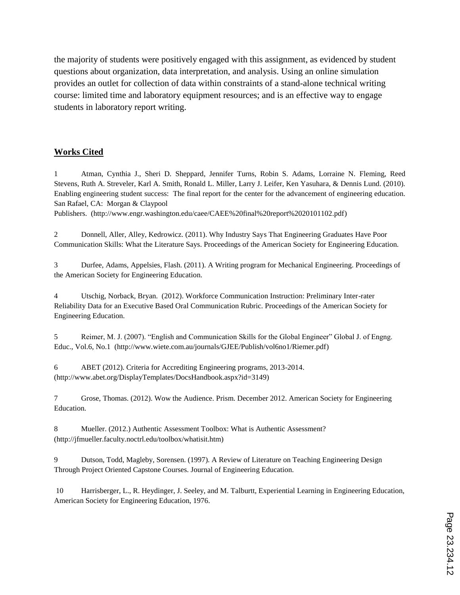the majority of students were positively engaged with this assignment, as evidenced by student questions about organization, data interpretation, and analysis. Using an online simulation provides an outlet for collection of data within constraints of a stand-alone technical writing course: limited time and laboratory equipment resources; and is an effective way to engage students in laboratory report writing.

#### **Works Cited**

1 Atman, Cynthia J., Sheri D. Sheppard, Jennifer Turns, Robin S. Adams, Lorraine N. Fleming, Reed Stevens, Ruth A. Streveler, Karl A. Smith, Ronald L. Miller, Larry J. Leifer, Ken Yasuhara, & Dennis Lund. (2010). Enabling engineering student success: The final report for the center for the advancement of engineering education. San Rafael, CA: Morgan & Claypool

Publishers. (http://www.engr.washington.edu/caee/CAEE%20final%20report%2020101102.pdf)

2 Donnell, Aller, Alley, Kedrowicz. (2011). Why Industry Says That Engineering Graduates Have Poor Communication Skills: What the Literature Says. Proceedings of the American Society for Engineering Education.

3 Durfee, Adams, Appelsies, Flash. (2011). A Writing program for Mechanical Engineering. Proceedings of the American Society for Engineering Education.

4 Utschig, Norback, Bryan. (2012). Workforce Communication Instruction: Preliminary Inter-rater Reliability Data for an Executive Based Oral Communication Rubric. Proceedings of the American Society for Engineering Education.

5 Reimer, M. J. (2007). "English and Communication Skills for the Global Engineer" Global J. of Engng. Educ., Vol.6, No.1 (http://www.wiete.com.au/journals/GJEE/Publish/vol6no1/Riemer.pdf)

6 ABET (2012). Criteria for Accrediting Engineering programs, 2013-2014. (http://www.abet.org/DisplayTemplates/DocsHandbook.aspx?id=3149)

7 Grose, Thomas. (2012). Wow the Audience. Prism. December 2012. American Society for Engineering Education.

8 Mueller. (2012.) Authentic Assessment Toolbox: What is Authentic Assessment? (http://jfmueller.faculty.noctrl.edu/toolbox/whatisit.htm)

9 Dutson, Todd, Magleby, Sorensen. (1997). A Review of Literature on Teaching Engineering Design Through Project Oriented Capstone Courses. Journal of Engineering Education.

10 Harrisberger, L., R. Heydinger, J. Seeley, and M. Talburtt, Experiential Learning in Engineering Education, American Society for Engineering Education, 1976.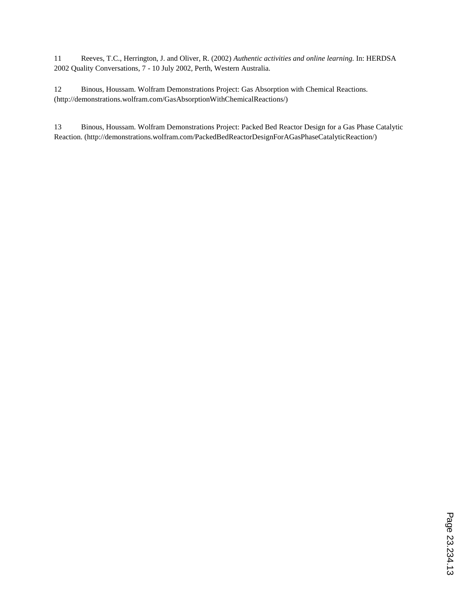11 Reeves, T.C., Herrington, J. and Oliver, R. (2002) *Authentic activities and online learning.* In: HERDSA 2002 Quality Conversations, 7 - 10 July 2002, Perth, Western Australia.

12 Binous, Houssam. Wolfram Demonstrations Project: Gas Absorption with Chemical Reactions. (http://demonstrations.wolfram.com/GasAbsorptionWithChemicalReactions/)

13 Binous, Houssam. Wolfram Demonstrations Project: Packed Bed Reactor Design for a Gas Phase Catalytic Reaction. (http://demonstrations.wolfram.com/PackedBedReactorDesignForAGasPhaseCatalyticReaction/)